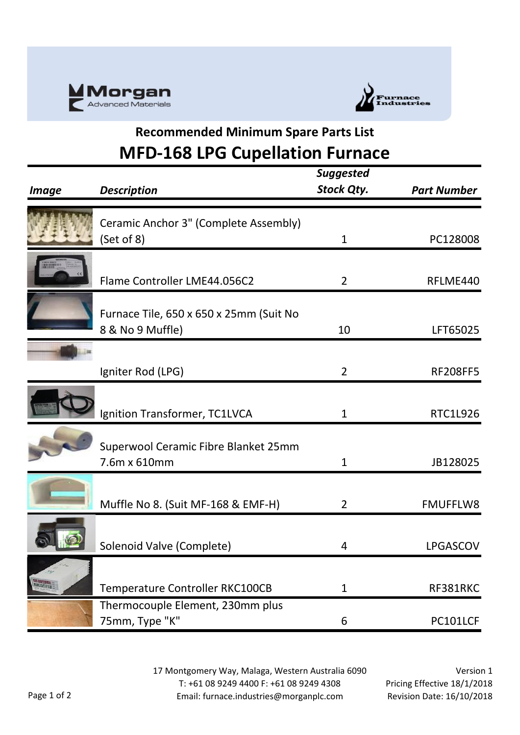



## **Recommended Minimum Spare Parts List MFD-168 LPG Cupellation Furnace**

|                          |                                                             | <b>Suggested</b><br><b>Stock Qty.</b> | <b>Part Number</b> |
|--------------------------|-------------------------------------------------------------|---------------------------------------|--------------------|
| <i>Image</i>             | <b>Description</b>                                          |                                       |                    |
|                          | Ceramic Anchor 3" (Complete Assembly)<br>(Set of 8)         | $\mathbf{1}$                          | PC128008           |
|                          | Flame Controller LME44.056C2                                | $\overline{2}$                        | RFLME440           |
|                          | Furnace Tile, 650 x 650 x 25mm (Suit No<br>8 & No 9 Muffle) | 10                                    | LFT65025           |
|                          | Igniter Rod (LPG)                                           | $\overline{2}$                        | <b>RF208FF5</b>    |
|                          | Ignition Transformer, TC1LVCA                               | 1                                     | <b>RTC1L926</b>    |
|                          | Superwool Ceramic Fibre Blanket 25mm<br>7.6m x 610mm        | $\mathbf 1$                           | JB128025           |
|                          | Muffle No 8. (Suit MF-168 & EMF-H)                          | $\overline{2}$                        | <b>FMUFFLW8</b>    |
|                          | Solenoid Valve (Complete)                                   | 4                                     | <b>LPGASCOV</b>    |
| <b>Maria</b><br>Watata 2 | Temperature Controller RKC100CB                             | $\mathbf{1}$                          | RF381RKC           |
|                          | Thermocouple Element, 230mm plus<br>75mm, Type "K"          | 6                                     | PC101LCF           |

17 Montgomery Way, Malaga, Western Australia 6090 T: +61 08 9249 4400 F: +61 08 9249 4308 Email: furnace.industries@morganplc.com

Version 1 Pricing Effective 18/1/2018 Revision Date: 16/10/2018